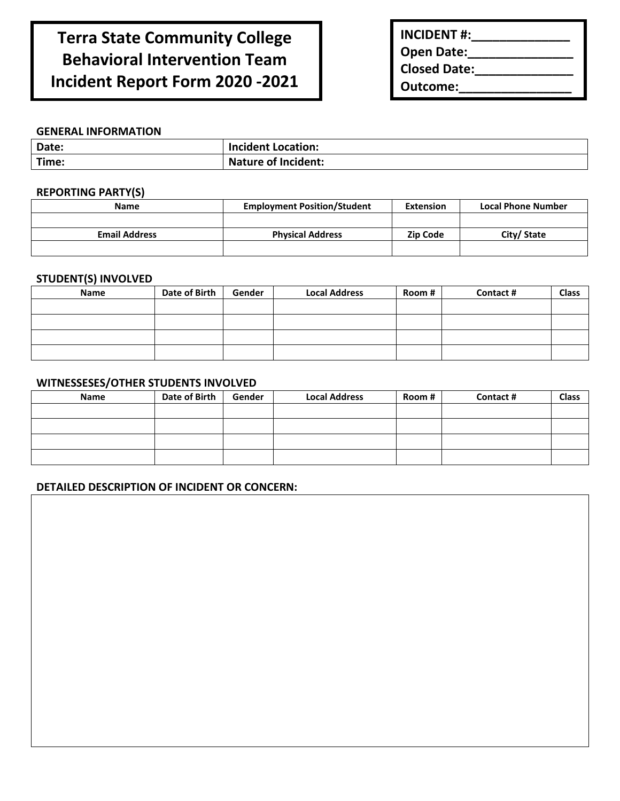# **Terra State Community College Behavioral Intervention Team Incident Report Form 2020 -2021**

| <b>INCIDENT #:</b>  |  |
|---------------------|--|
| <b>Open Date:</b>   |  |
| <b>Closed Date:</b> |  |
| Outcome:            |  |

#### **GENERAL INFORMATION**

| Date: | <b>Incident Location:</b>  |
|-------|----------------------------|
| Time: | <b>Nature of Incident:</b> |

## **REPORTING PARTY(S)**

| <b>Name</b>          | <b>Employment Position/Student</b> | <b>Extension</b> | <b>Local Phone Number</b> |
|----------------------|------------------------------------|------------------|---------------------------|
|                      |                                    |                  |                           |
|                      |                                    |                  |                           |
| <b>Email Address</b> | <b>Physical Address</b>            | Zip Code         | City/State                |
|                      |                                    |                  |                           |

## **STUDENT(S) INVOLVED**

| <b>Name</b> | Date of Birth | Gender | <b>Local Address</b> | Room # | Contact# | Class |
|-------------|---------------|--------|----------------------|--------|----------|-------|
|             |               |        |                      |        |          |       |
|             |               |        |                      |        |          |       |
|             |               |        |                      |        |          |       |
|             |               |        |                      |        |          |       |

## **WITNESSESES/OTHER STUDENTS INVOLVED**

| Name | Date of Birth | Gender | <b>Local Address</b> | Room # | Contact # | <b>Class</b> |
|------|---------------|--------|----------------------|--------|-----------|--------------|
|      |               |        |                      |        |           |              |
|      |               |        |                      |        |           |              |
|      |               |        |                      |        |           |              |
|      |               |        |                      |        |           |              |

## **DETAILED DESCRIPTION OF INCIDENT OR CONCERN:**